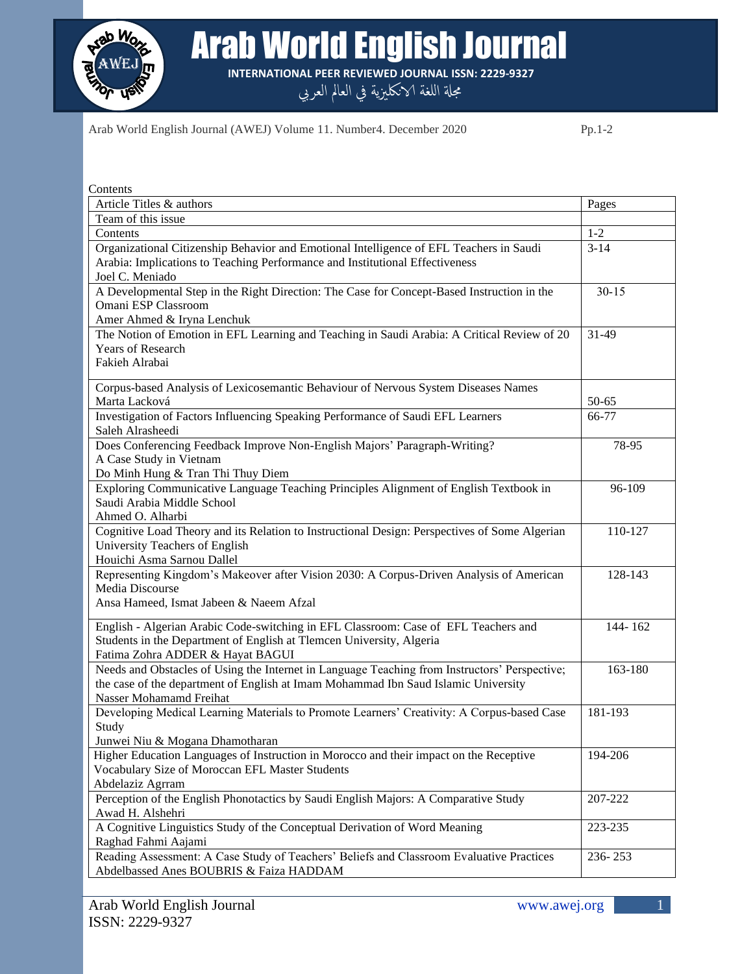

Arab World English Journal

**INTERNATIONAL PEER REVIEWED JOURNAL ISSN: 2229-9327**

مجلة اللغة الانكليزية في العالم العربي

Arab World English Journal (AWEJ) Volume 11. Number4. December 2020 Pp.1-2

| Contents                                                                                      |           |
|-----------------------------------------------------------------------------------------------|-----------|
| Article Titles & authors                                                                      | Pages     |
| Team of this issue                                                                            |           |
| Contents                                                                                      | $1 - 2$   |
| Organizational Citizenship Behavior and Emotional Intelligence of EFL Teachers in Saudi       | $3 - 14$  |
| Arabia: Implications to Teaching Performance and Institutional Effectiveness                  |           |
| Joel C. Meniado                                                                               |           |
| A Developmental Step in the Right Direction: The Case for Concept-Based Instruction in the    | $30 - 15$ |
| Omani ESP Classroom                                                                           |           |
| Amer Ahmed & Iryna Lenchuk                                                                    |           |
| The Notion of Emotion in EFL Learning and Teaching in Saudi Arabia: A Critical Review of 20   | 31-49     |
| Years of Research                                                                             |           |
| Fakieh Alrabai                                                                                |           |
|                                                                                               |           |
| Corpus-based Analysis of Lexicosemantic Behaviour of Nervous System Diseases Names            |           |
| Marta Lacková                                                                                 | $50 - 65$ |
| Investigation of Factors Influencing Speaking Performance of Saudi EFL Learners               | 66-77     |
| Saleh Alrasheedi                                                                              |           |
| Does Conferencing Feedback Improve Non-English Majors' Paragraph-Writing?                     | 78-95     |
| A Case Study in Vietnam                                                                       |           |
| Do Minh Hung & Tran Thi Thuy Diem                                                             |           |
| Exploring Communicative Language Teaching Principles Alignment of English Textbook in         | 96-109    |
| Saudi Arabia Middle School                                                                    |           |
| Ahmed O. Alharbi                                                                              |           |
| Cognitive Load Theory and its Relation to Instructional Design: Perspectives of Some Algerian | 110-127   |
| University Teachers of English                                                                |           |
| Houichi Asma Sarnou Dallel                                                                    |           |
| Representing Kingdom's Makeover after Vision 2030: A Corpus-Driven Analysis of American       | 128-143   |
| Media Discourse                                                                               |           |
| Ansa Hameed, Ismat Jabeen & Naeem Afzal                                                       |           |
| English - Algerian Arabic Code-switching in EFL Classroom: Case of EFL Teachers and           | 144-162   |
| Students in the Department of English at Tlemcen University, Algeria                          |           |
| Fatima Zohra ADDER & Hayat BAGUI                                                              |           |
| Needs and Obstacles of Using the Internet in Language Teaching from Instructors' Perspective; | 163-180   |
| the case of the department of English at Imam Mohammad Ibn Saud Islamic University            |           |
| Nasser Mohamamd Freihat                                                                       |           |
| Developing Medical Learning Materials to Promote Learners' Creativity: A Corpus-based Case    | 181-193   |
| Study                                                                                         |           |
| Junwei Niu & Mogana Dhamotharan                                                               |           |
| Higher Education Languages of Instruction in Morocco and their impact on the Receptive        | 194-206   |
| Vocabulary Size of Moroccan EFL Master Students                                               |           |
| Abdelaziz Agrram                                                                              |           |
| Perception of the English Phonotactics by Saudi English Majors: A Comparative Study           | 207-222   |
| Awad H. Alshehri                                                                              |           |
| A Cognitive Linguistics Study of the Conceptual Derivation of Word Meaning                    | 223-235   |
| Raghad Fahmi Aajami                                                                           |           |
| Reading Assessment: A Case Study of Teachers' Beliefs and Classroom Evaluative Practices      | 236-253   |
| Abdelbassed Anes BOUBRIS & Faiza HADDAM                                                       |           |